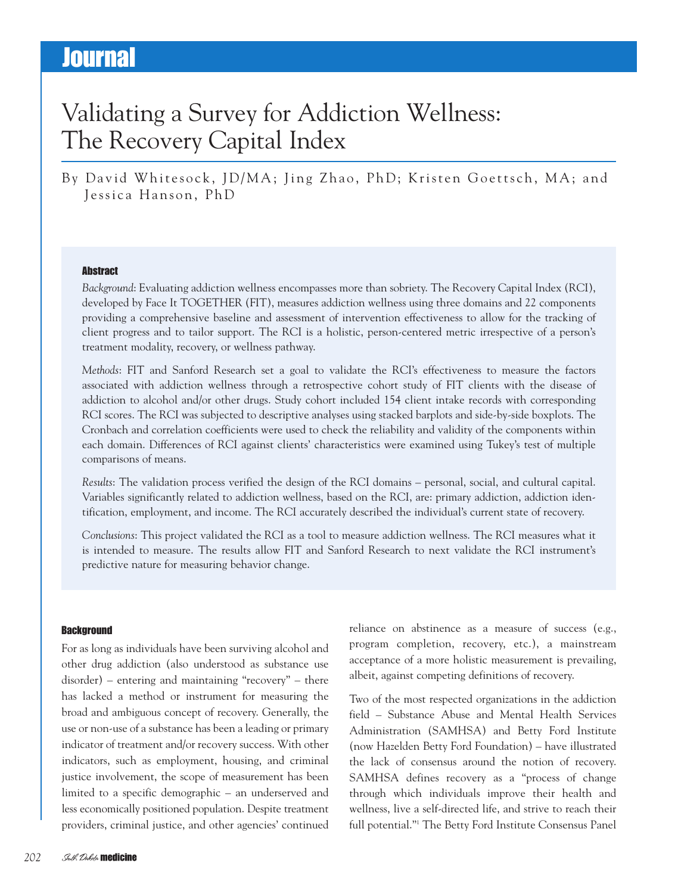# Validating a Survey for Addiction Wellness: The Recovery Capital Index

By David Whitesock, JD/MA; Jing Zhao, PhD; Kristen Goettsch, MA; and Jessica Hanson, PhD

#### **Abstract**

*Background*: Evaluating addiction wellness encompasses more than sobriety. The Recovery Capital Index (RCI), developed by Face It TOGETHER (FIT), measures addiction wellness using three domains and 22 components providing a comprehensive baseline and assessment of intervention effectiveness to allow for the tracking of client progress and to tailor support. The RCI is a holistic, person-centered metric irrespective of a person's treatment modality, recovery, or wellness pathway.

*Methods*: FIT and Sanford Research set a goal to validate the RCI's effectiveness to measure the factors associated with addiction wellness through a retrospective cohort study of FIT clients with the disease of addiction to alcohol and/or other drugs. Study cohort included 154 client intake records with corresponding RCI scores. The RCI was subjected to descriptive analyses using stacked barplots and side-by-side boxplots. The Cronbach and correlation coefficients were used to check the reliability and validity of the components within each domain. Differences of RCI against clients' characteristics were examined using Tukey's test of multiple comparisons of means.

*Results*: The validation process verified the design of the RCI domains – personal, social, and cultural capital. Variables significantly related to addiction wellness, based on the RCI, are: primary addiction, addiction identification, employment, and income. The RCI accurately described the individual's current state of recovery.

*Conclusions*: This project validated the RCI as a tool to measure addiction wellness. The RCI measures what it is intended to measure. The results allow FIT and Sanford Research to next validate the RCI instrument's predictive nature for measuring behavior change.

### **Background**

For as long as individuals have been surviving alcohol and other drug addiction (also understood as substance use disorder) – entering and maintaining "recovery" – there has lacked a method or instrument for measuring the broad and ambiguous concept of recovery. Generally, the use or non-use of a substance has been a leading or primary indicator of treatment and/or recovery success. With other indicators, such as employment, housing, and criminal justice involvement, the scope of measurement has been limited to a specific demographic – an underserved and less economically positioned population. Despite treatment providers, criminal justice, and other agencies' continued

reliance on abstinence as a measure of success (e.g., program completion, recovery, etc.), a mainstream acceptance of a more holistic measurement is prevailing, albeit, against competing definitions of recovery.

Two of the most respected organizations in the addiction field – Substance Abuse and Mental Health Services Administration (SAMHSA) and Betty Ford Institute (now Hazelden Betty Ford Foundation) – have illustrated the lack of consensus around the notion of recovery. SAMHSA defines recovery as a "process of change through which individuals improve their health and wellness, live a self-directed life, and strive to reach their full potential."1 The Betty Ford Institute Consensus Panel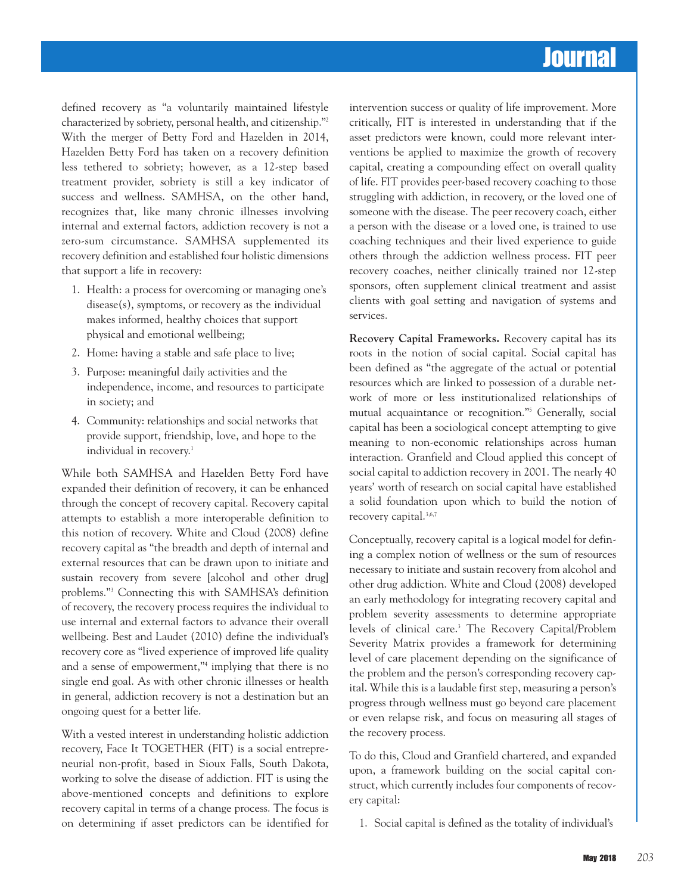defined recovery as "a voluntarily maintained lifestyle characterized by sobriety, personal health, and citizenship."2 With the merger of Betty Ford and Hazelden in 2014, Hazelden Betty Ford has taken on a recovery definition less tethered to sobriety; however, as a 12-step based treatment provider, sobriety is still a key indicator of success and wellness. SAMHSA, on the other hand, recognizes that, like many chronic illnesses involving internal and external factors, addiction recovery is not a zero-sum circumstance. SAMHSA supplemented its recovery definition and established four holistic dimensions that support a life in recovery:

- 1. Health: a process for overcoming or managing one's disease(s), symptoms, or recovery as the individual makes informed, healthy choices that support physical and emotional wellbeing;
- 2. Home: having a stable and safe place to live;
- 3. Purpose: meaningful daily activities and the independence, income, and resources to participate in society; and
- 4. Community: relationships and social networks that provide support, friendship, love, and hope to the individual in recovery. 1

While both SAMHSA and Hazelden Betty Ford have expanded their definition of recovery, it can be enhanced through the concept of recovery capital. Recovery capital attempts to establish a more interoperable definition to this notion of recovery. White and Cloud (2008) define recovery capital as "the breadth and depth of internal and external resources that can be drawn upon to initiate and sustain recovery from severe [alcohol and other drug] problems."3 Connecting this with SAMHSA's definition of recovery, the recovery process requires the individual to use internal and external factors to advance their overall wellbeing. Best and Laudet (2010) define the individual's recovery core as "lived experience of improved life quality and a sense of empowerment,"4 implying that there is no single end goal. As with other chronic illnesses or health in general, addiction recovery is not a destination but an ongoing quest for a better life.

With a vested interest in understanding holistic addiction recovery, Face It TOGETHER (FIT) is a social entrepreneurial non-profit, based in Sioux Falls, South Dakota, working to solve the disease of addiction. FIT is using the above-mentioned concepts and definitions to explore recovery capital in terms of a change process. The focus is on determining if asset predictors can be identified for

intervention success or quality of life improvement. More critically, FIT is interested in understanding that if the asset predictors were known, could more relevant interventions be applied to maximize the growth of recovery capital, creating a compounding effect on overall quality of life. FIT provides peer-based recovery coaching to those struggling with addiction, in recovery, or the loved one of someone with the disease. The peer recovery coach, either a person with the disease or a loved one, is trained to use coaching techniques and their lived experience to guide others through the addiction wellness process. FIT peer recovery coaches, neither clinically trained nor 12-step sponsors, often supplement clinical treatment and assist clients with goal setting and navigation of systems and services.

**Recovery Capital Frameworks.** Recovery capital has its roots in the notion of social capital. Social capital has been defined as "the aggregate of the actual or potential resources which are linked to possession of a durable network of more or less institutionalized relationships of mutual acquaintance or recognition."5 Generally, social capital has been a sociological concept attempting to give meaning to non-economic relationships across human interaction. Granfield and Cloud applied this concept of social capital to addiction recovery in 2001. The nearly 40 years' worth of research on social capital have established a solid foundation upon which to build the notion of recovery capital. 3,6,7

Conceptually, recovery capital is a logical model for defining a complex notion of wellness or the sum of resources necessary to initiate and sustain recovery from alcohol and other drug addiction. White and Cloud (2008) developed an early methodology for integrating recovery capital and problem severity assessments to determine appropriate levels of clinical care. <sup>3</sup> The Recovery Capital/Problem Severity Matrix provides a framework for determining level of care placement depending on the significance of the problem and the person's corresponding recovery capital. While this is a laudable first step, measuring a person's progress through wellness must go beyond care placement or even relapse risk, and focus on measuring all stages of the recovery process.

To do this, Cloud and Granfield chartered, and expanded upon, a framework building on the social capital construct, which currently includes four components of recovery capital:

1. Social capital is defined as the totality of individual's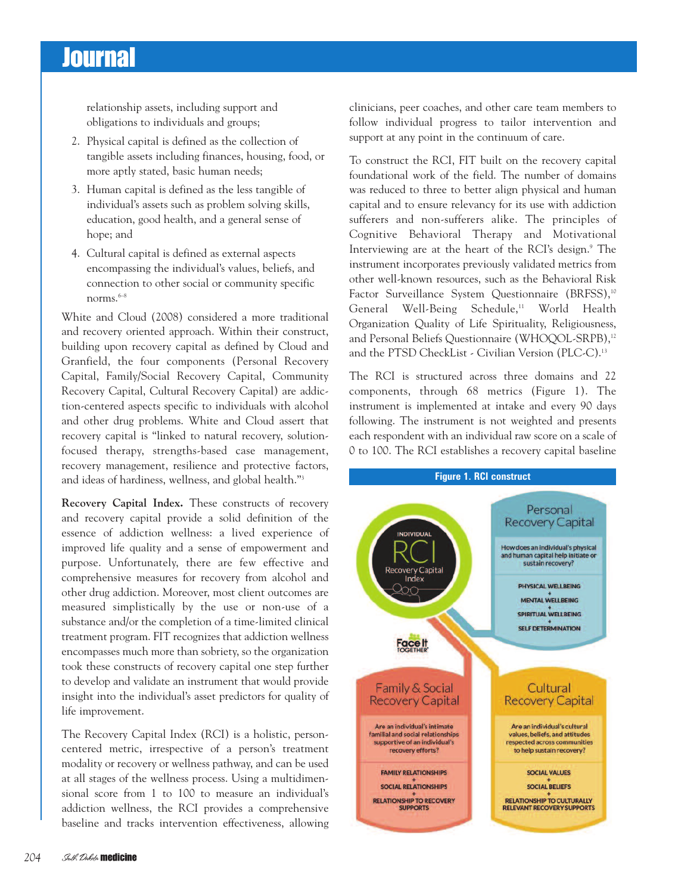relationship assets, including support and obligations to individuals and groups;

- 2. Physical capital is defined as the collection of tangible assets including finances, housing, food, or more aptly stated, basic human needs;
- 3. Human capital is defined as the less tangible of individual's assets such as problem solving skills, education, good health, and a general sense of hope; and
- 4. Cultural capital is defined as external aspects encompassing the individual's values, beliefs, and connection to other social or community specific norms. 6–8

White and Cloud (2008) considered a more traditional and recovery oriented approach. Within their construct, building upon recovery capital as defined by Cloud and Granfield, the four components (Personal Recovery Capital, Family/Social Recovery Capital, Community Recovery Capital, Cultural Recovery Capital) are addiction-centered aspects specific to individuals with alcohol and other drug problems. White and Cloud assert that recovery capital is "linked to natural recovery, solutionfocused therapy, strengths-based case management, recovery management, resilience and protective factors, and ideas of hardiness, wellness, and global health."3

**Recovery Capital Index.** These constructs of recovery and recovery capital provide a solid definition of the essence of addiction wellness: a lived experience of improved life quality and a sense of empowerment and purpose. Unfortunately, there are few effective and comprehensive measures for recovery from alcohol and other drug addiction. Moreover, most client outcomes are measured simplistically by the use or non-use of a substance and/or the completion of a time-limited clinical treatment program. FIT recognizes that addiction wellness encompasses much more than sobriety, so the organization took these constructs of recovery capital one step further to develop and validate an instrument that would provide insight into the individual's asset predictors for quality of life improvement.

The Recovery Capital Index (RCI) is a holistic, personcentered metric, irrespective of a person's treatment modality or recovery or wellness pathway, and can be used at all stages of the wellness process. Using a multidimensional score from 1 to 100 to measure an individual's addiction wellness, the RCI provides a comprehensive baseline and tracks intervention effectiveness, allowing clinicians, peer coaches, and other care team members to follow individual progress to tailor intervention and support at any point in the continuum of care.

To construct the RCI, FIT built on the recovery capital foundational work of the field. The number of domains was reduced to three to better align physical and human capital and to ensure relevancy for its use with addiction sufferers and non-sufferers alike. The principles of Cognitive Behavioral Therapy and Motivational Interviewing are at the heart of the RCI's design. <sup>9</sup> The instrument incorporates previously validated metrics from other well-known resources, such as the Behavioral Risk Factor Surveillance System Questionnaire (BRFSS), 10 General Well-Being Schedule, <sup>11</sup> World Health Organization Quality of Life Spirituality, Religiousness, and Personal Beliefs Questionnaire (WHOQOL-SRPB), 12 and the PTSD CheckList - Civilian Version (PLC-C).<sup>13</sup>

The RCI is structured across three domains and 22 components, through 68 metrics (Figure 1). The instrument is implemented at intake and every 90 days following. The instrument is not weighted and presents each respondent with an individual raw score on a scale of 0 to 100. The RCI establishes a recovery capital baseline

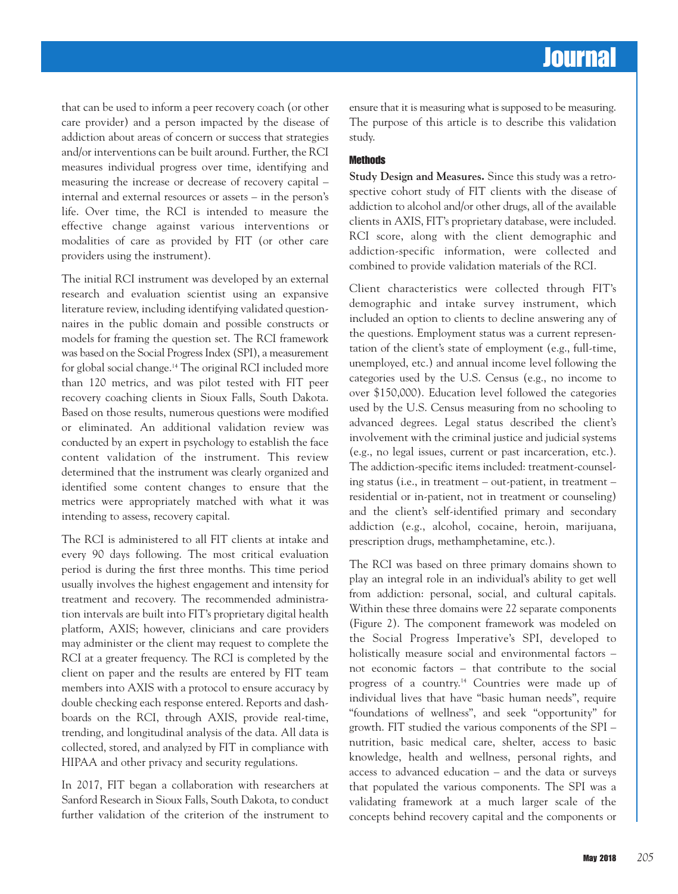that can be used to inform a peer recovery coach (or other care provider) and a person impacted by the disease of addiction about areas of concern or success that strategies and/or interventions can be built around. Further, the RCI measures individual progress over time, identifying and measuring the increase or decrease of recovery capital – internal and external resources or assets – in the person's life. Over time, the RCI is intended to measure the effective change against various interventions or modalities of care as provided by FIT (or other care providers using the instrument).

The initial RCI instrument was developed by an external research and evaluation scientist using an expansive literature review, including identifying validated questionnaires in the public domain and possible constructs or models for framing the question set. The RCI framework was based on the Social Progress Index (SPI), a measurement for global social change. <sup>14</sup> The original RCI included more than 120 metrics, and was pilot tested with FIT peer recovery coaching clients in Sioux Falls, South Dakota. Based on those results, numerous questions were modified or eliminated. An additional validation review was conducted by an expert in psychology to establish the face content validation of the instrument. This review determined that the instrument was clearly organized and identified some content changes to ensure that the metrics were appropriately matched with what it was intending to assess, recovery capital.

The RCI is administered to all FIT clients at intake and every 90 days following. The most critical evaluation period is during the first three months. This time period usually involves the highest engagement and intensity for treatment and recovery. The recommended administration intervals are built into FIT's proprietary digital health platform, AXIS; however, clinicians and care providers may administer or the client may request to complete the RCI at a greater frequency. The RCI is completed by the client on paper and the results are entered by FIT team members into AXIS with a protocol to ensure accuracy by double checking each response entered. Reports and dashboards on the RCI, through AXIS, provide real-time, trending, and longitudinal analysis of the data. All data is collected, stored, and analyzed by FIT in compliance with HIPAA and other privacy and security regulations.

In 2017, FIT began a collaboration with researchers at Sanford Research in Sioux Falls, South Dakota, to conduct further validation of the criterion of the instrument to ensure that it is measuring what is supposed to be measuring. The purpose of this article is to describe this validation study.

#### **Methods**

**Study Design and Measures.** Since this study was a retrospective cohort study of FIT clients with the disease of addiction to alcohol and/or other drugs, all of the available clients in AXIS, FIT's proprietary database, were included. RCI score, along with the client demographic and addiction-specific information, were collected and combined to provide validation materials of the RCI.

Client characteristics were collected through FIT's demographic and intake survey instrument, which included an option to clients to decline answering any of the questions. Employment status was a current representation of the client's state of employment (e.g., full-time, unemployed, etc.) and annual income level following the categories used by the U.S. Census (e.g., no income to over \$150,000). Education level followed the categories used by the U.S. Census measuring from no schooling to advanced degrees. Legal status described the client's involvement with the criminal justice and judicial systems (e.g., no legal issues, current or past incarceration, etc.). The addiction-specific items included: treatment-counseling status (i.e., in treatment – out-patient, in treatment – residential or in-patient, not in treatment or counseling) and the client's self-identified primary and secondary addiction (e.g., alcohol, cocaine, heroin, marijuana, prescription drugs, methamphetamine, etc.).

The RCI was based on three primary domains shown to play an integral role in an individual's ability to get well from addiction: personal, social, and cultural capitals. Within these three domains were 22 separate components (Figure 2). The component framework was modeled on the Social Progress Imperative's SPI, developed to holistically measure social and environmental factors – not economic factors – that contribute to the social progress of a country.<sup>14</sup> Countries were made up of individual lives that have "basic human needs", require "foundations of wellness", and seek "opportunity" for growth. FIT studied the various components of the SPI – nutrition, basic medical care, shelter, access to basic knowledge, health and wellness, personal rights, and access to advanced education – and the data or surveys that populated the various components. The SPI was a validating framework at a much larger scale of the concepts behind recovery capital and the components or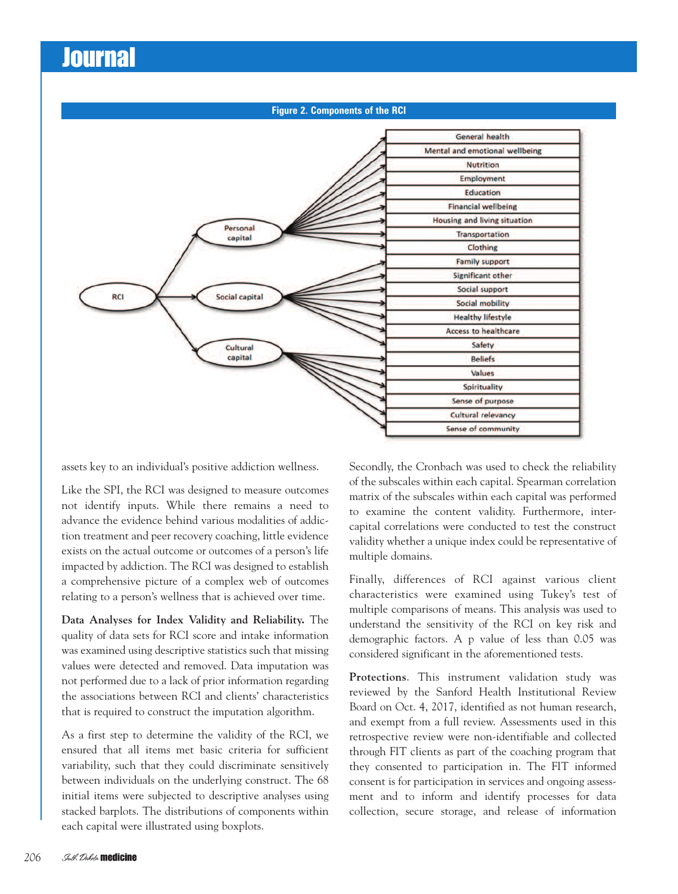**Figure 2. Components of the RCIGeneral health** Mental and emotional wellbeing **Nutrition Employment Education Financial wellbeing Housing and living situation** Personal Transportation capital Clothing **Family support Significant other** Social support Social capital **RCI** Social mobility **Healthy lifestyle Access to healthcare** Safety Cultural capital **Beliefs** Values Spirituality **Sense of purpose Cultural relevancy** Sense of community

assets key to an individual's positive addiction wellness.

Like the SPI, the RCI was designed to measure outcomes not identify inputs. While there remains a need to advance the evidence behind various modalities of addiction treatment and peer recovery coaching, little evidence exists on the actual outcome or outcomes of a person's life impacted by addiction. The RCI was designed to establish a comprehensive picture of a complex web of outcomes relating to a person's wellness that is achieved over time.

**Data Analyses for Index Validity and Reliability.** The quality of data sets for RCI score and intake information was examined using descriptive statistics such that missing values were detected and removed. Data imputation was not performed due to a lack of prior information regarding the associations between RCI and clients' characteristics that is required to construct the imputation algorithm.

As a first step to determine the validity of the RCI, we ensured that all items met basic criteria for sufficient variability, such that they could discriminate sensitively between individuals on the underlying construct. The 68 initial items were subjected to descriptive analyses using stacked barplots. The distributions of components within each capital were illustrated using boxplots.

Secondly, the Cronbach was used to check the reliability of the subscales within each capital. Spearman correlation matrix of the subscales within each capital was performed to examine the content validity. Furthermore, intercapital correlations were conducted to test the construct validity whether a unique index could be representative of multiple domains.

Finally, differences of RCI against various client characteristics were examined using Tukey's test of multiple comparisons of means. This analysis was used to understand the sensitivity of the RCI on key risk and demographic factors. A p value of less than 0.05 was considered significant in the aforementioned tests.

**Protections**. This instrument validation study was reviewed by the Sanford Health Institutional Review Board on Oct. 4, 2017, identified as not human research, and exempt from a full review. Assessments used in this retrospective review were non-identifiable and collected through FIT clients as part of the coaching program that they consented to participation in. The FIT informed consent is for participation in services and ongoing assessment and to inform and identify processes for data collection, secure storage, and release of information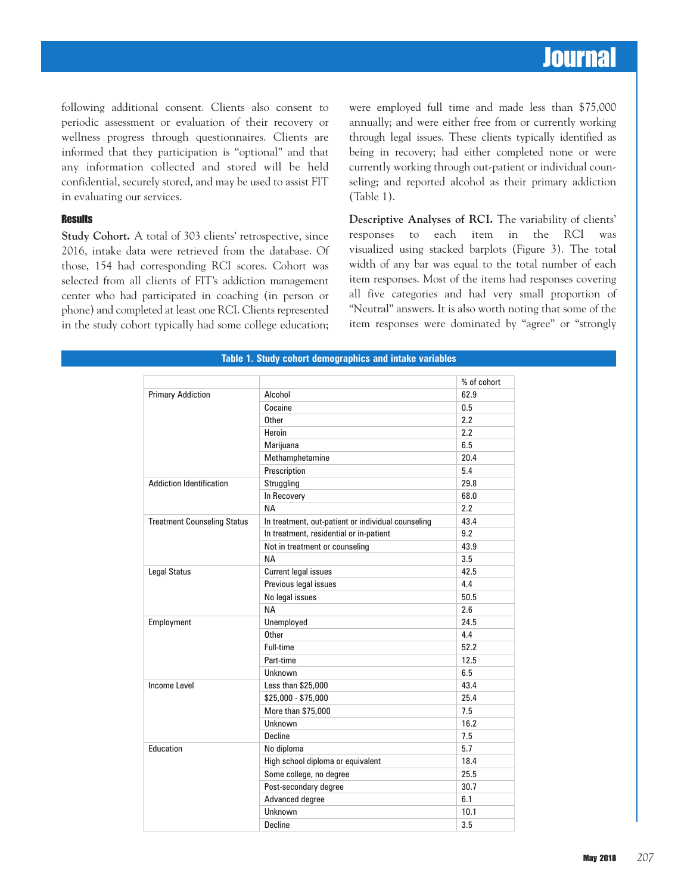following additional consent. Clients also consent to periodic assessment or evaluation of their recovery or wellness progress through questionnaires. Clients are informed that they participation is "optional" and that any information collected and stored will be held confidential, securely stored, and may be used to assist FIT in evaluating our services.

#### **Results**

**Study Cohort.** A total of 303 clients' retrospective, since 2016, intake data were retrieved from the database. Of those, 154 had corresponding RCI scores. Cohort was selected from all clients of FIT's addiction management center who had participated in coaching (in person or phone) and completed at least one RCI. Clients represented in the study cohort typically had some college education;

were employed full time and made less than \$75,000 annually; and were either free from or currently working through legal issues. These clients typically identified as being in recovery; had either completed none or were currently working through out-patient or individual counseling; and reported alcohol as their primary addiction (Table 1).

**Descriptive Analyses of RCI.** The variability of clients' responses to each item in the RCI was visualized using stacked barplots (Figure 3). The total width of any bar was equal to the total number of each item responses. Most of the items had responses covering all five categories and had very small proportion of "Neutral" answers. It is also worth noting that some of the item responses were dominated by "agree" or "strongly

|                                    |                                                    | % of cohort |
|------------------------------------|----------------------------------------------------|-------------|
| <b>Primary Addiction</b>           | Alcohol                                            | 62.9        |
|                                    | Cocaine                                            | 0.5         |
|                                    | Other                                              | 2.2         |
|                                    | Heroin                                             | 2.2         |
|                                    | Marijuana                                          | 6.5         |
|                                    | Methamphetamine                                    | 20.4        |
|                                    | Prescription                                       | 5.4         |
| <b>Addiction Identification</b>    | Struggling                                         | 29.8        |
|                                    | In Recovery                                        | 68.0        |
|                                    | <b>NA</b>                                          | 2.2         |
| <b>Treatment Counseling Status</b> | In treatment, out-patient or individual counseling | 43.4        |
|                                    | In treatment, residential or in-patient            | 9.2         |
|                                    | Not in treatment or counseling                     | 43.9        |
|                                    | <b>NA</b>                                          | 3.5         |
| <b>Legal Status</b>                | <b>Current legal issues</b>                        | 42.5        |
|                                    | Previous legal issues                              | 4.4         |
|                                    | No legal issues                                    | 50.5        |
|                                    | <b>NA</b>                                          | 2.6         |
| Employment                         | Unemployed                                         | 24.5        |
|                                    | Other                                              | 4.4         |
|                                    | Full-time                                          | 52.2        |
|                                    | Part-time                                          | 12.5        |
|                                    | Unknown                                            | 6.5         |
| <b>Income Level</b>                | Less than \$25,000                                 | 43.4        |
|                                    | \$25,000 - \$75,000                                | 25.4        |
|                                    | More than \$75,000                                 | 7.5         |
|                                    | Unknown                                            | 16.2        |
|                                    | Decline                                            | 7.5         |
| Education                          | No diploma                                         | 5.7         |
|                                    | High school diploma or equivalent                  | 18.4        |
|                                    | Some college, no degree                            | 25.5        |
|                                    | Post-secondary degree                              | 30.7        |
|                                    | Advanced degree                                    | 6.1         |
|                                    | Unknown                                            | 10.1        |
|                                    | Decline                                            | 3.5         |

**Table 1. Study cohort demographics and intake variables**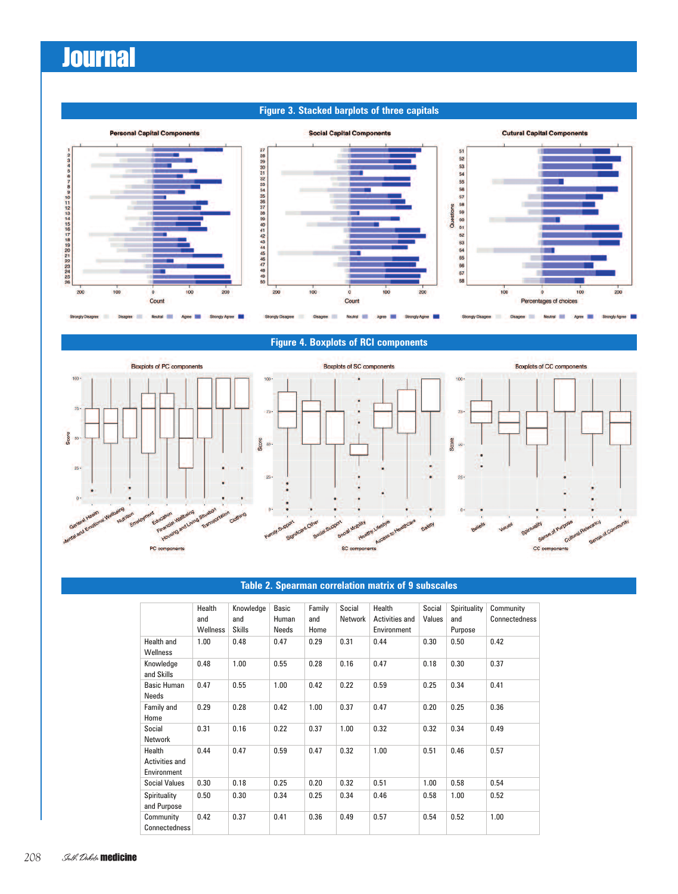### **Figure 3. Stacked barplots of three capitals**



### **Figure 4. Boxplots of RCI components**

Boxplots of SC components







#### Table 2. Spearman correlation matrix of 9 subscales **Table 2. Spearman correlation matrix of 9 subscales**

|                                         | Health<br>and<br>Wellness | Knowledge<br>and<br><b>Skills</b> | Basic<br>Human<br>Needs | Family<br>and<br>Home | Social<br>Network | Health<br><b>Activities and</b><br>Environment | Social<br>Values | Spirituality<br>and<br>Purpose | Community<br>Connectedness |
|-----------------------------------------|---------------------------|-----------------------------------|-------------------------|-----------------------|-------------------|------------------------------------------------|------------------|--------------------------------|----------------------------|
| Health and<br>Wellness                  | 1.00                      | 0.48                              | 0.47                    | 0.29                  | 0.31              | 0.44                                           | 0.30             | 0.50                           | 0.42                       |
| Knowledge<br>and Skills                 | 0.48                      | 1.00                              | 0.55                    | 0.28                  | 0.16              | 0.47                                           | 0.18             | 0.30                           | 0.37                       |
| <b>Basic Human</b><br>Needs             | 0.47                      | 0.55                              | 1.00                    | 0.42                  | 0.22              | 0.59                                           | 0.25             | 0.34                           | 0.41                       |
| Family and<br>Home                      | 0.29                      | 0.28                              | 0.42                    | 1.00                  | 0.37              | 0.47                                           | 0.20             | 0.25                           | 0.36                       |
| Social<br>Network                       | 0.31                      | 0.16                              | 0.22                    | 0.37                  | 1.00              | 0.32                                           | 0.32             | 0.34                           | 0.49                       |
| Health<br>Activities and<br>Environment | 0.44                      | 0.47                              | 0.59                    | 0.47                  | 0.32              | 1.00                                           | 0.51             | 0.46                           | 0.57                       |
| <b>Social Values</b>                    | 0.30                      | 0.18                              | 0.25                    | 0.20                  | 0.32              | 0.51                                           | 1.00             | 0.58                           | 0.54                       |
| Spirituality<br>and Purpose             | 0.50                      | 0.30                              | 0.34                    | 0.25                  | 0.34              | 0.46                                           | 0.58             | 1.00                           | 0.52                       |
| Community<br>Connectedness              | 0.42                      | 0.37                              | 0.41                    | 0.36                  | 0.49              | 0.57                                           | 0.54             | 0.52                           | 1.00                       |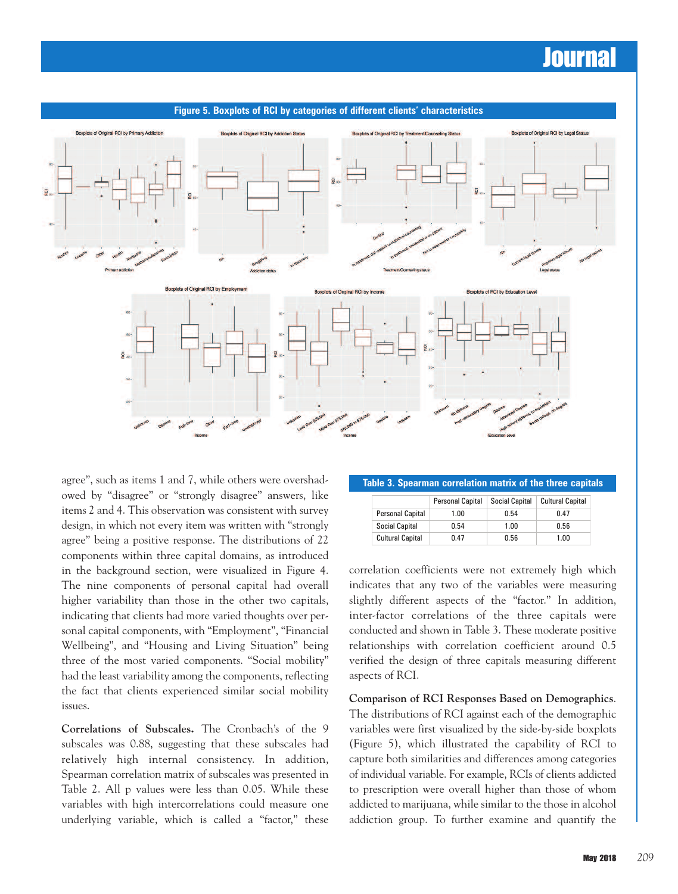

**Figure 5. Boxplots of RCI by categories of different clients' characteristics**

agree", such as items 1 and 7, while others were overshadowed by "disagree" or "strongly disagree" answers, like items 2 and 4. This observation was consistent with survey design, in which not every item was written with "strongly agree" being a positive response. The distributions of 22 components within three capital domains, as introduced in the background section, were visualized in Figure 4. The nine components of personal capital had overall higher variability than those in the other two capitals, indicating that clients had more varied thoughts over personal capital components, with "Employment", "Financial Wellbeing", and "Housing and Living Situation" being three of the most varied components. "Social mobility" had the least variability among the components, reflecting the fact that clients experienced similar social mobility issues.

**Correlations of Subscales.** The Cronbach's of the 9 subscales was 0.88, suggesting that these subscales had relatively high internal consistency. In addition, Spearman correlation matrix of subscales was presented in Table 2. All p values were less than 0.05. While these variables with high intercorrelations could measure one underlying variable, which is called a "factor," these

|  |  | Table 3. Spearman correlation matrix of the three capitals |  |  |
|--|--|------------------------------------------------------------|--|--|
|--|--|------------------------------------------------------------|--|--|

|                         | <b>Personal Capital</b> | <b>Social Capital</b> | <b>Cultural Capital</b> |
|-------------------------|-------------------------|-----------------------|-------------------------|
| <b>Personal Capital</b> | 1.00                    | n 54                  | 0.47                    |
| <b>Social Capital</b>   | 0.54                    | 1.00                  | 0.56                    |
| <b>Cultural Capital</b> | N 47                    | 0.56                  | 1.00                    |

correlation coefficients were not extremely high which indicates that any two of the variables were measuring slightly different aspects of the "factor." In addition, inter-factor correlations of the three capitals were conducted and shown in Table 3. These moderate positive relationships with correlation coefficient around 0.5 verified the design of three capitals measuring different aspects of RCI.

**Comparison of RCI Responses Based on Demographics**.

The distributions of RCI against each of the demographic variables were first visualized by the side-by-side boxplots (Figure 5), which illustrated the capability of RCI to capture both similarities and differences among categories of individual variable. For example, RCIs of clients addicted to prescription were overall higher than those of whom addicted to marijuana, while similar to the those in alcohol addiction group. To further examine and quantify the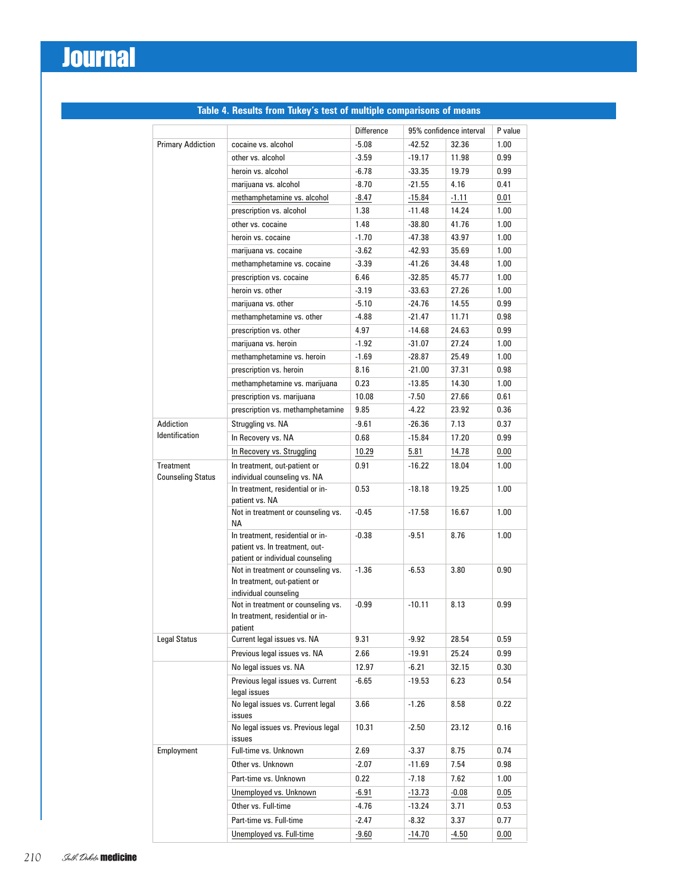| $-5.08$<br>32.36<br><b>Primary Addiction</b><br>cocaine vs. alcohol<br>$-42.52$<br>other vs. alcohol<br>$-3.59$<br>$-19.17$<br>11.98      |          |
|-------------------------------------------------------------------------------------------------------------------------------------------|----------|
|                                                                                                                                           | 1.00     |
|                                                                                                                                           | 0.99     |
| heroin vs. alcohol<br>$-6.78$<br>$-33.35$<br>19.79                                                                                        | 0.99     |
| marijuana vs. alcohol<br>$-8.70$<br>$-21.55$<br>4.16                                                                                      | 0.41     |
| methamphetamine vs. alcohol<br>-8.47<br>$-15.84$<br>$-1.11$                                                                               | $0.01\,$ |
| prescription vs. alcohol<br>1.38<br>$-11.48$<br>14.24                                                                                     | 1.00     |
| other vs. cocaine<br>1.48<br>$-38.80$<br>41.76                                                                                            | 1.00     |
| heroin vs. cocaine<br>$-1.70$<br>$-47.38$<br>43.97                                                                                        | 1.00     |
| marijuana vs. cocaine<br>$-42.93$<br>35.69<br>$-3.62$                                                                                     | 1.00     |
| methamphetamine vs. cocaine<br>$-3.39$<br>$-41.26$<br>34.48                                                                               | 1.00     |
| prescription vs. cocaine<br>6.46<br>$-32.85$<br>45.77                                                                                     | 1.00     |
| heroin vs. other<br>$-3.19$<br>$-33.63$<br>27.26                                                                                          | 1.00     |
| $-5.10$<br>$-24.76$<br>14.55<br>marijuana vs. other                                                                                       | 0.99     |
| methamphetamine vs. other<br>$-4.88$<br>$-21.47$<br>11.71                                                                                 | 0.98     |
| prescription vs. other<br>4.97<br>$-14.68$<br>24.63                                                                                       | 0.99     |
| marijuana vs. heroin<br>$-1.92$<br>27.24<br>$-31.07$                                                                                      | 1.00     |
| methamphetamine vs. heroin<br>25.49<br>$-1.69$<br>$-28.87$                                                                                | 1.00     |
| prescription vs. heroin<br>8.16<br>$-21.00$<br>37.31                                                                                      | 0.98     |
| methamphetamine vs. marijuana<br>0.23<br>$-13.85$<br>14.30                                                                                | 1.00     |
| prescription vs. marijuana<br>10.08<br>$-7.50$<br>27.66                                                                                   | 0.61     |
| prescription vs. methamphetamine<br>9.85<br>$-4.22$<br>23.92                                                                              | 0.36     |
| Addiction<br>Struggling vs. NA<br>$-9.61$<br>$-26.36$<br>7.13                                                                             | 0.37     |
| <b>Identification</b><br>17.20                                                                                                            |          |
| In Recovery vs. NA<br>0.68<br>$-15.84$                                                                                                    | 0.99     |
| In Recovery vs. Struggling<br>10.29<br>5.81<br>14.78                                                                                      | $0.00\,$ |
| <b>Treatment</b><br>In treatment, out-patient or<br>0.91<br>$-16.22$<br>18.04<br><b>Counseling Status</b><br>individual counseling vs. NA | 1.00     |
| In treatment, residential or in-<br>0.53<br>$-18.18$<br>19.25                                                                             | 1.00     |
| patient vs. NA                                                                                                                            |          |
| Not in treatment or counseling vs.<br>$-0.45$<br>$-17.58$<br>16.67<br>ΝA                                                                  | 1.00     |
| In treatment, residential or in-<br>$-9.51$<br>8.76<br>$-0.38$<br>patient vs. In treatment, out-<br>patient or individual counseling      | 1.00     |
| Not in treatment or counseling vs.<br>$-1.36$<br>$-6.53$<br>3.80<br>In treatment, out-patient or<br>individual counseling                 | 0.90     |
| Not in treatment or counseling vs.<br>$-0.99$<br>$-10.11$<br>8.13<br>In treatment, residential or in-<br>patient                          | 0.99     |
| <b>Legal Status</b><br>Current legal issues vs. NA<br>$-9.92$<br>9.31<br>28.54                                                            | 0.59     |
| Previous legal issues vs. NA<br>2.66<br>$-19.91$<br>25.24                                                                                 | 0.99     |
| No legal issues vs. NA<br>12.97<br>$-6.21$<br>32.15                                                                                       | $0.30\,$ |
| Previous legal issues vs. Current<br>$-19.53$<br>6.23<br>-6.65<br>legal issues                                                            | 0.54     |
| No legal issues vs. Current legal<br>3.66<br>$-1.26$<br>8.58<br>issues                                                                    | 0.22     |
| No legal issues vs. Previous legal<br>10.31<br>$-2.50$<br>23.12<br>issues                                                                 | 0.16     |
| Full-time vs. Unknown<br>Employment<br>2.69<br>8.75<br>$-3.37$                                                                            | 0.74     |
| Other vs. Unknown<br>$-2.07$<br>$-11.69$<br>7.54                                                                                          | $0.98\,$ |
|                                                                                                                                           | 1.00     |
| Part-time vs. Unknown<br>0.22<br>$-7.18$<br>7.62                                                                                          |          |
| Unemployed vs. Unknown<br>-6.91<br>$-0.08$<br>-13.73                                                                                      | 0.05     |
| Other vs. Full-time<br>-4.76<br>$-13.24$<br>3.71                                                                                          | 0.53     |
| Part-time vs. Full-time<br>-2.47<br>-8.32<br>3.37                                                                                         | 0.77     |

### **Table 4. Results from Tukey's test of multiple comparisons of means**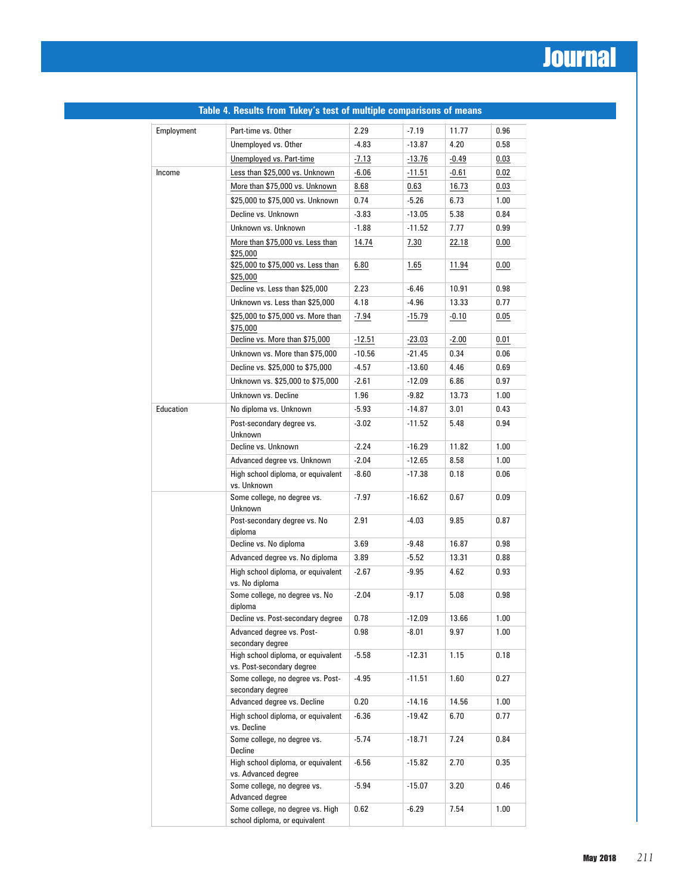| Employment | Part-time vs. Other                                               | 2.29     | $-7.19$  | 11.77        | 0.96     |
|------------|-------------------------------------------------------------------|----------|----------|--------------|----------|
|            | Unemployed vs. Other                                              | $-4.83$  | $-13.87$ | 4.20         | 0.58     |
|            | Unemployed vs. Part-time                                          | -7.13    | $-13.76$ | -0.49        | $0.03\,$ |
| Income     | Less than \$25,000 vs. Unknown                                    | -6.06    | $-11.51$ | $-0.61$      | 0.02     |
|            | More than \$75,000 vs. Unknown                                    | 8.68     | 0.63     | 16.73        | $0.03\,$ |
|            |                                                                   |          |          |              |          |
|            | \$25,000 to \$75,000 vs. Unknown                                  | 0.74     | $-5.26$  | 6.73         | 1.00     |
|            | Decline vs. Unknown                                               | $-3.83$  | $-13.05$ | 5.38         | 0.84     |
|            | Unknown vs. Unknown                                               | $-1.88$  | $-11.52$ | 7.77         | 0.99     |
|            | More than \$75,000 vs. Less than<br>\$25,000                      | 14.74    | 7.30     | <u>22.18</u> | 0.00     |
|            | \$25,000 to \$75,000 vs. Less than<br>\$25,000                    | 6.80     | 1.65     | 11.94        | $0.00\,$ |
|            | Decline vs. Less than \$25,000                                    | 2.23     | $-6.46$  | 10.91        | 0.98     |
|            | Unknown vs. Less than \$25,000                                    | 4.18     | -4.96    | 13.33        | 0.77     |
|            | \$25,000 to \$75,000 vs. More than<br>\$75,000                    | -7.94    | $-15.79$ | $-0.10$      | 0.05     |
|            | Decline vs. More than \$75,000                                    | $-12.51$ | $-23.03$ | $-2.00$      | 0.01     |
|            | Unknown vs. More than \$75,000                                    | $-10.56$ | $-21.45$ | 0.34         | 0.06     |
|            | Decline vs. \$25,000 to \$75,000                                  | -4.57    | $-13.60$ | 4.46         | 0.69     |
|            | Unknown vs. \$25,000 to \$75,000                                  | $-2.61$  | $-12.09$ | 6.86         | 0.97     |
|            | Unknown vs. Decline                                               | 1.96     | -9.82    | 13.73        | 1.00     |
| Education  | No diploma vs. Unknown                                            | $-5.93$  | $-14.87$ | 3.01         | 0.43     |
|            | Post-secondary degree vs.<br>Unknown                              | $-3.02$  | $-11.52$ | 5.48         | 0.94     |
|            | Decline vs. Unknown                                               | $-2.24$  | $-16.29$ | 11.82        | 1.00     |
|            | Advanced degree vs. Unknown                                       | $-2.04$  | $-12.65$ | 8.58         | 1.00     |
|            | High school diploma, or equivalent<br>vs. Unknown                 | -8.60    | $-17.38$ | 0.18         | 0.06     |
|            | Some college, no degree vs.<br>Unknown                            | $-7.97$  | $-16.62$ | 0.67         | 0.09     |
|            | Post-secondary degree vs. No<br>diploma                           | 2.91     | $-4.03$  | 9.85         | 0.87     |
|            | Decline vs. No diploma                                            | 3.69     | $-9.48$  | 16.87        | 0.98     |
|            | Advanced degree vs. No diploma                                    | 3.89     | $-5.52$  | 13.31        | 0.88     |
|            | High school diploma, or equivalent<br>vs. No diploma              | $-2.67$  | $-9.95$  | 4.62         | 0.93     |
|            | Some college, no degree vs. No<br>diploma                         | $-2.04$  | $-9.17$  | 5.08         | 0.98     |
|            | Decline vs. Post-secondary degree                                 | 0.78     | $-12.09$ | 13.66        | 1.00     |
|            | Advanced degree vs. Post-<br>secondary degree                     | 0.98     | $-8.01$  | 9.97         | 1.00     |
|            | High school diploma, or equivalent<br>vs. Post-secondary degree   | -5.58    | $-12.31$ | 1.15         | 0.18     |
|            | Some college, no degree vs. Post-<br>secondary degree             | -4.95    | $-11.51$ | 1.60         | 0.27     |
|            | Advanced degree vs. Decline                                       | 0.20     | $-14.16$ | 14.56        | 1.00     |
|            | High school diploma, or equivalent<br>vs. Decline                 | $-6.36$  | $-19.42$ | 6.70         | 0.77     |
|            | Some college, no degree vs.<br>Decline                            | $-5.74$  | $-18.71$ | 7.24         | 0.84     |
|            | High school diploma, or equivalent<br>vs. Advanced degree         | $-6.56$  | $-15.82$ | 2.70         | 0.35     |
|            | Some college, no degree vs.<br>Advanced degree                    | $-5.94$  | $-15.07$ | 3.20         | 0.46     |
|            | Some college, no degree vs. High<br>school diploma, or equivalent | 0.62     | $-6.29$  | 7.54         | 1.00     |

#### **Table 4. Results from Tukey's test of multiple comparisons of means**